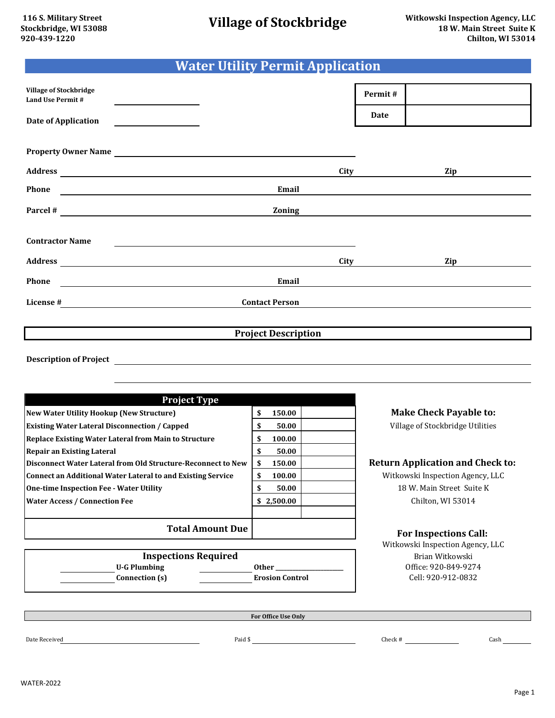## **Water Utility Permit Application**

| <b>Village of Stockbridge</b><br>Land Use Permit #                                                                                                                                                                             |                                                             |                            |      | Permit# |     |  |
|--------------------------------------------------------------------------------------------------------------------------------------------------------------------------------------------------------------------------------|-------------------------------------------------------------|----------------------------|------|---------|-----|--|
| <b>Date of Application</b>                                                                                                                                                                                                     | <u> 1989 - Jan Samuel Barbara, politik a</u>                |                            |      | Date    |     |  |
|                                                                                                                                                                                                                                |                                                             |                            |      |         |     |  |
|                                                                                                                                                                                                                                |                                                             | Property Owner Name        |      |         |     |  |
| Address and the contract of the contract of the contract of the contract of the contract of the contract of the contract of the contract of the contract of the contract of the contract of the contract of the contract of th |                                                             |                            | City |         | Zip |  |
| Phone                                                                                                                                                                                                                          |                                                             | Email                      |      |         |     |  |
|                                                                                                                                                                                                                                |                                                             | <b>Zoning</b>              |      |         |     |  |
|                                                                                                                                                                                                                                |                                                             |                            |      |         |     |  |
| <b>Contractor Name</b>                                                                                                                                                                                                         |                                                             |                            |      |         |     |  |
|                                                                                                                                                                                                                                |                                                             |                            | City |         | Zip |  |
| Phone                                                                                                                                                                                                                          | <u> 1989 - Johann Stein, mars an de Francisco Barbara (</u> | Email                      |      |         |     |  |
| License #                                                                                                                                                                                                                      |                                                             | <b>Contact Person</b>      |      |         |     |  |
|                                                                                                                                                                                                                                |                                                             |                            |      |         |     |  |
|                                                                                                                                                                                                                                |                                                             | <b>Project Description</b> |      |         |     |  |
|                                                                                                                                                                                                                                |                                                             |                            |      |         |     |  |

**Description of Project**

| <b>Project Type</b>                                          |                |       |
|--------------------------------------------------------------|----------------|-------|
| <b>New Water Utility Hookup (New Structure)</b>              | \$<br>150.00   | N     |
| <b>Existing Water Lateral Disconnection / Capped</b>         | \$<br>50.00    | V     |
| <b>Replace Existing Water Lateral from Main to Structure</b> | \$<br>100.00   |       |
| <b>Repair an Existing Lateral</b>                            | \$<br>50.00    |       |
| Disconnect Water Lateral from Old Structure-Reconnect to New | \$<br>150.00   | Retur |
| Connect an Additional Water Lateral to and Existing Service  | \$<br>100.00   | Wit   |
| <b>One-time Inspection Fee - Water Utility</b>               | \$<br>50.00    |       |
| <b>Water Access / Connection Fee</b>                         | 2,500.00<br>\$ |       |
| <b>Total Amount Due</b>                                      |                |       |

**Make Check Payable to:** Village of Stockbridge Utilities

## **Phiscon Bruch Structure-Beam Application and Check to:**

tkowski Inspection Agency, LLC 18 W. Main Street Suite K Chilton, WI 53014

## **For Inspections Call:**

Witkowski Inspection Agency, LLC Cell: 920-912-0832 Brian Witkowski Office: 920-849-9274

**U-G Plumbing Connection (s) Expedient Expedience Expedience Expedience Expedience Expedience Expedience Expedience Expedience Expedience Expedience Expedience Expedience Expedience Expedience Expedience Expedience Expedience Expedie Inspections Required Other \_\_\_\_\_\_\_\_\_\_\_\_\_\_\_\_\_\_\_\_\_\_\_\_**

**For Office Use Only**

Date Received Paid \$ Check # Cash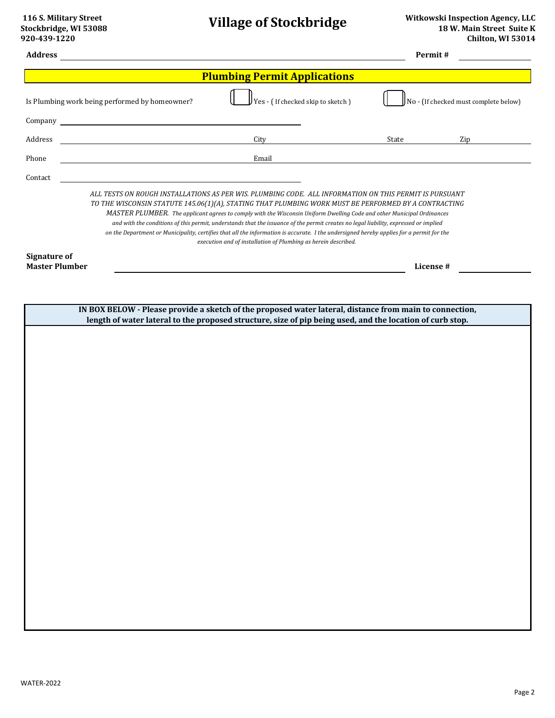| <b>Address</b>                               |                                                                                                                      |                                                                                                                                                                                                                                                                                                                                                                                                                                                                                                                                                                                                                                                                                                | Permit#   |                                              |  |
|----------------------------------------------|----------------------------------------------------------------------------------------------------------------------|------------------------------------------------------------------------------------------------------------------------------------------------------------------------------------------------------------------------------------------------------------------------------------------------------------------------------------------------------------------------------------------------------------------------------------------------------------------------------------------------------------------------------------------------------------------------------------------------------------------------------------------------------------------------------------------------|-----------|----------------------------------------------|--|
| <b>Plumbing Permit Applications</b>          |                                                                                                                      |                                                                                                                                                                                                                                                                                                                                                                                                                                                                                                                                                                                                                                                                                                |           |                                              |  |
|                                              | Is Plumbing work being performed by homeowner?                                                                       | Yes - ( If checked skip to sketch )                                                                                                                                                                                                                                                                                                                                                                                                                                                                                                                                                                                                                                                            |           | $\int$ No - (If checked must complete below) |  |
| Company                                      | <u> 1980 - Johann Barn, mars ann an t-Amhain Aonaich an t-Aonaich an t-Aonaich ann an t-Aonaich ann an t-Aonaich</u> |                                                                                                                                                                                                                                                                                                                                                                                                                                                                                                                                                                                                                                                                                                |           |                                              |  |
| Address                                      |                                                                                                                      | City                                                                                                                                                                                                                                                                                                                                                                                                                                                                                                                                                                                                                                                                                           | State     | Zip                                          |  |
| Phone                                        |                                                                                                                      | Email                                                                                                                                                                                                                                                                                                                                                                                                                                                                                                                                                                                                                                                                                          |           |                                              |  |
| Contact                                      |                                                                                                                      |                                                                                                                                                                                                                                                                                                                                                                                                                                                                                                                                                                                                                                                                                                |           |                                              |  |
|                                              |                                                                                                                      | ALL TESTS ON ROUGH INSTALLATIONS AS PER WIS. PLUMBING CODE. ALL INFORMATION ON THIS PERMIT IS PURSUANT<br>TO THE WISCONSIN STATUTE 145.06(1)(A), STATING THAT PLUMBING WORK MUST BE PERFORMED BY A CONTRACTING<br>MASTER PLUMBER. The applicant agrees to comply with the Wisconsin Uniform Dwelling Code and other Municipal Ordinances<br>and with the conditions of this permit, understands that the issuance of the permit creates no legal liability, expressed or implied<br>on the Department or Municipality, certifies that all the information is accurate. I the undersigned hereby applies for a permit for the<br>execution and of installation of Plumbing as herein described. |           |                                              |  |
| <b>Signature of</b><br><b>Master Plumber</b> |                                                                                                                      |                                                                                                                                                                                                                                                                                                                                                                                                                                                                                                                                                                                                                                                                                                | License # |                                              |  |
|                                              |                                                                                                                      |                                                                                                                                                                                                                                                                                                                                                                                                                                                                                                                                                                                                                                                                                                |           |                                              |  |
|                                              |                                                                                                                      |                                                                                                                                                                                                                                                                                                                                                                                                                                                                                                                                                                                                                                                                                                |           |                                              |  |
|                                              |                                                                                                                      | IN BOX BELOW - Please provide a sketch of the proposed water lateral, distance from main to connection,<br>length of water lateral to the proposed structure, size of pip being used, and the location of curb stop.                                                                                                                                                                                                                                                                                                                                                                                                                                                                           |           |                                              |  |
|                                              |                                                                                                                      |                                                                                                                                                                                                                                                                                                                                                                                                                                                                                                                                                                                                                                                                                                |           |                                              |  |